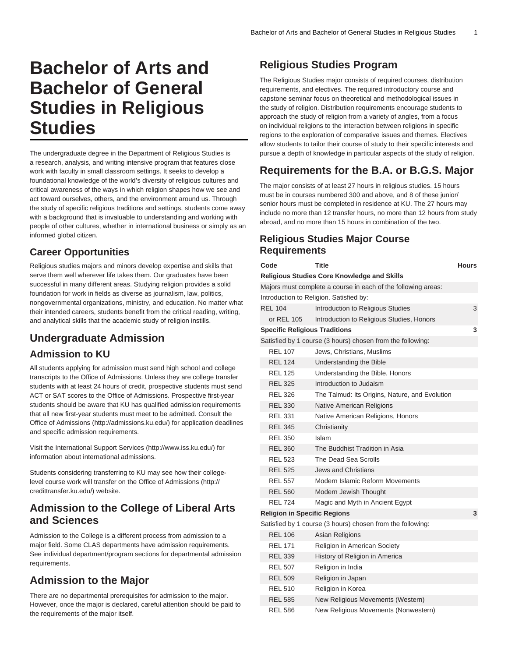# **Bachelor of Arts and Bachelor of General Studies in Religious Studies**

The undergraduate degree in the Department of Religious Studies is a research, analysis, and writing intensive program that features close work with faculty in small classroom settings. It seeks to develop a foundational knowledge of the world's diversity of religious cultures and critical awareness of the ways in which religion shapes how we see and act toward ourselves, others, and the environment around us. Through the study of specific religious traditions and settings, students come away with a background that is invaluable to understanding and working with people of other cultures, whether in international business or simply as an informed global citizen.

# **Career Opportunities**

Religious studies majors and minors develop expertise and skills that serve them well wherever life takes them. Our graduates have been successful in many different areas. Studying religion provides a solid foundation for work in fields as diverse as journalism, law, politics, nongovernmental organizations, ministry, and education. No matter what their intended careers, students benefit from the critical reading, writing, and analytical skills that the academic study of religion instills.

# **Undergraduate Admission**

### **Admission to KU**

All students applying for admission must send high school and college transcripts to the Office of Admissions. Unless they are college transfer students with at least 24 hours of credit, prospective students must send ACT or SAT scores to the Office of Admissions. Prospective first-year students should be aware that KU has qualified admission requirements that all new first-year students must meet to be admitted. Consult the [Office of Admissions](http://admissions.ku.edu/) (<http://admissions.ku.edu/>) for application deadlines and specific admission requirements.

Visit the [International Support Services](http://www.iss.ku.edu/) ([http://www.iss.ku.edu/\)](http://www.iss.ku.edu/) for information about international admissions.

Students considering transferring to KU may see how their collegelevel course work will transfer on the [Office of Admissions](http://credittransfer.ku.edu/) ([http://](http://credittransfer.ku.edu/) [credittransfer.ku.edu/](http://credittransfer.ku.edu/)) website.

# **Admission to the College of Liberal Arts and Sciences**

Admission to the College is a different process from admission to a major field. Some CLAS departments have admission requirements. See individual department/program sections for departmental admission requirements.

# **Admission to the Major**

There are no departmental prerequisites for admission to the major. However, once the major is declared, careful attention should be paid to the requirements of the major itself.

# **Religious Studies Program**

The Religious Studies major consists of required courses, distribution requirements, and electives. The required introductory course and capstone seminar focus on theoretical and methodological issues in the study of religion. Distribution requirements encourage students to approach the study of religion from a variety of angles, from a focus on individual religions to the interaction between religions in specific regions to the exploration of comparative issues and themes. Electives allow students to tailor their course of study to their specific interests and pursue a depth of knowledge in particular aspects of the study of religion.

# **Requirements for the B.A. or B.G.S. Major**

The major consists of at least 27 hours in religious studies. 15 hours must be in courses numbered 300 and above, and 8 of these junior/ senior hours must be completed in residence at KU. The 27 hours may include no more than 12 transfer hours, no more than 12 hours from study abroad, and no more than 15 hours in combination of the two.

### **Religious Studies Major Course Requirements**

| Code                                 | Title                                                         | <b>Hours</b> |
|--------------------------------------|---------------------------------------------------------------|--------------|
|                                      | <b>Religious Studies Core Knowledge and Skills</b>            |              |
|                                      | Majors must complete a course in each of the following areas: |              |
|                                      | Introduction to Religion. Satisfied by:                       |              |
| <b>REL 104</b>                       | Introduction to Religious Studies                             | 3            |
| or REL 105                           | Introduction to Religious Studies, Honors                     |              |
| <b>Specific Religious Traditions</b> |                                                               | 3            |
|                                      | Satisfied by 1 course (3 hours) chosen from the following:    |              |
| <b>REL 107</b>                       | Jews, Christians, Muslims                                     |              |
| <b>REL 124</b>                       | Understanding the Bible                                       |              |
| <b>REL 125</b>                       | Understanding the Bible, Honors                               |              |
| <b>REL 325</b>                       | Introduction to Judaism                                       |              |
| <b>REL 326</b>                       | The Talmud: Its Origins, Nature, and Evolution                |              |
| <b>REL 330</b>                       | Native American Religions                                     |              |
| <b>REL 331</b>                       | Native American Religions, Honors                             |              |
| <b>REL 345</b>                       | Christianity                                                  |              |
| <b>REL 350</b>                       | Islam                                                         |              |
| <b>REL 360</b>                       | The Buddhist Tradition in Asia                                |              |
| <b>REL 523</b>                       | The Dead Sea Scrolls                                          |              |
| <b>REL 525</b>                       | <b>Jews and Christians</b>                                    |              |
| <b>REL 557</b>                       | Modern Islamic Reform Movements                               |              |
| <b>REL 560</b>                       | Modern Jewish Thought                                         |              |
| <b>REL 724</b>                       | Magic and Myth in Ancient Egypt                               |              |
| <b>Religion in Specific Regions</b>  |                                                               | 3            |
|                                      | Satisfied by 1 course (3 hours) chosen from the following:    |              |
| <b>REL 106</b>                       | Asian Religions                                               |              |
| <b>REL 171</b>                       | <b>Religion in American Society</b>                           |              |
| <b>REL 339</b>                       | History of Religion in America                                |              |
| <b>REL 507</b>                       | Religion in India                                             |              |
| <b>REL 509</b>                       | Religion in Japan                                             |              |
| <b>REL 510</b>                       | Religion in Korea                                             |              |
| <b>REL 585</b>                       | New Religious Movements (Western)                             |              |
| <b>REL 586</b>                       | New Religious Movements (Nonwestern)                          |              |